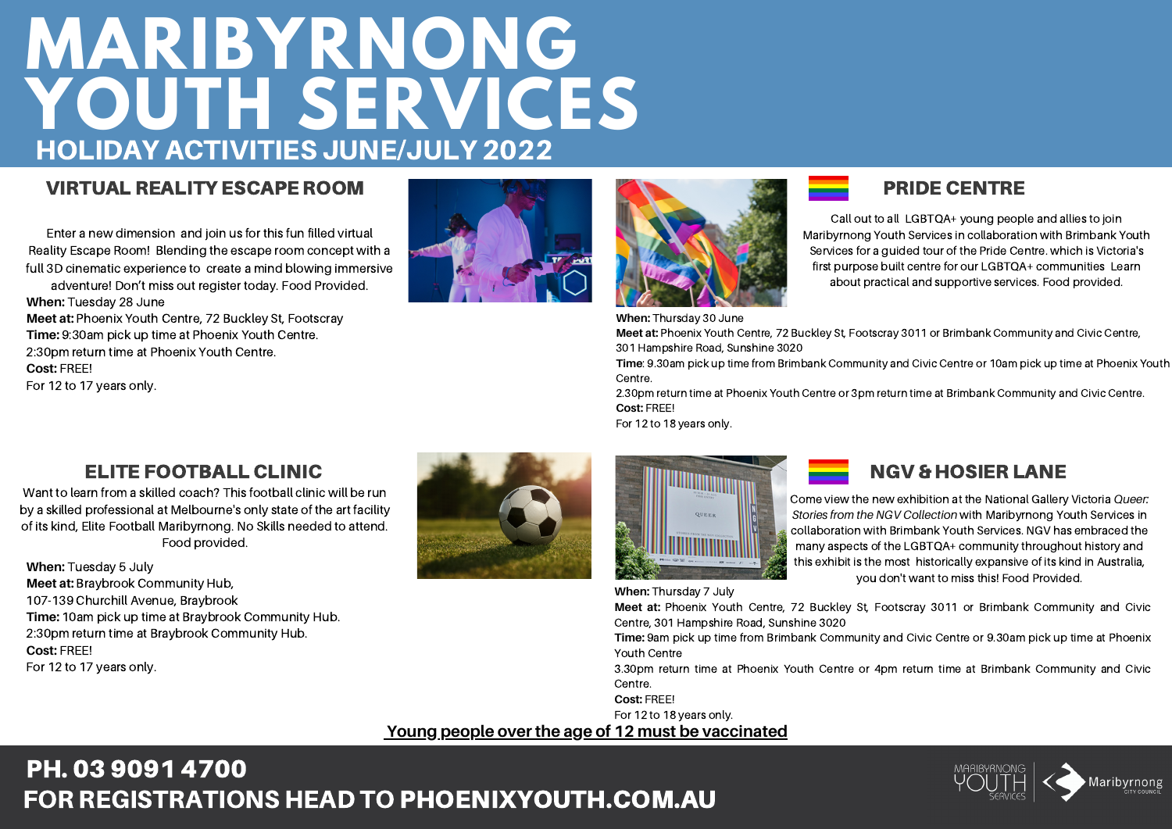## **MARIBYRNONG YOUTH SERVICES** HOLIDAY ACTIVITIES JUNE/JULY 2022

### VIRTUAL REALITY ESCAPE ROOM

Enter a new dimension and join us for this fun filled virtual Reality Escape Room! Blending the escape room concept with a full 3D cinematic experience to create a mind blowing immersive

adventure! Don't miss out register today. Food Provided. **When:** Tuesday 28 June

**Meet at:** Phoenix Youth Centre, 72 Buckley St, Footscray **Time:** 9:30am pick up time at Phoenix Youth Centre. 2:30pm return time at Phoenix Youth Centre. **Cost:** FREE! For 12 to 17 years only.





#### **When:** Thursday 30 June

**Meet at:** Phoenix Youth Centre, 72 Buckley St, Footscray 3011 or Brimbank Community and Civic Centre, 301 Hampshire Road, Sunshine 3020

**Time**: 9.30am pick up time from Brimbank Community and Civic Centre or 10am pick up time at Phoenix Youth Centre.

2.30pm return time at Phoenix Youth Centre or 3pm return time at Brimbank Community and Civic Centre. **Cost:** FREE!

For 12 to 18 years only.

## ELITE FOOTBALL CLINIC

Want to learn from a skilled coach? This football clinic will be run by a skilled professional at Melbourne's only state of the art facility of its kind, Elite Football Maribyrnong. No Skills needed to attend. Food provided.

**When:** Tuesday 5 July **Meet at:** Braybrook Community Hub, 107-139 Churchill Avenue, Braybrook **Time:** 10am pick up time at Braybrook Community Hub. 2:30pm return time at Braybrook Community Hub. **Cost:** FREE! For 12 to 17 years only.





### NGV & HOSIER LANE

PRIDE CENTRE

Call out to all LGBTQA+ young people and allies to join Maribyrnong Youth Services in collaboration with Brimbank Youth Services for a guided tour of the Pride Centre. which is Victoria's first purpose built centre for our LGBTQA+ communities Learn about practical and supportive services. Food provided.

Come view the new exhibition at the National Gallery Victoria *Queer: Stories from the NGV Collection* with Maribyrnong Youth Services in collaboration with Brimbank Youth Services. NGV has embraced the many aspects of the LGBTQA+ community throughout history and this exhibit is the most historically expansive of its kind in Australia, you don't want to miss this! Food Provided.

**Meet at:** Phoenix Youth Centre, 72 Buckley St, Footscray 3011 or Brimbank Community and Civic Centre, 301 Hampshire Road, Sunshine 3020

**Time:** 9am pick up time from Brimbank Community and Civic Centre or 9.30am pick up time at Phoenix Youth Centre

3.30pm return time at Phoenix Youth Centre or 4pm return time at Brimbank Community and Civic Centre.

**Cost:** FREE!

For 12 to 18 years only.

**When:** Thursday 7 July

#### **Young people over the age of 12 must be vaccinated**

## FOR REGISTRATIONS HEAD TO [PHOENIXYOUTH.COM.AU](http://phoenixyouth.com.au/) PH. 03 9091 [4700](http://phoenixyouth.com.au/)